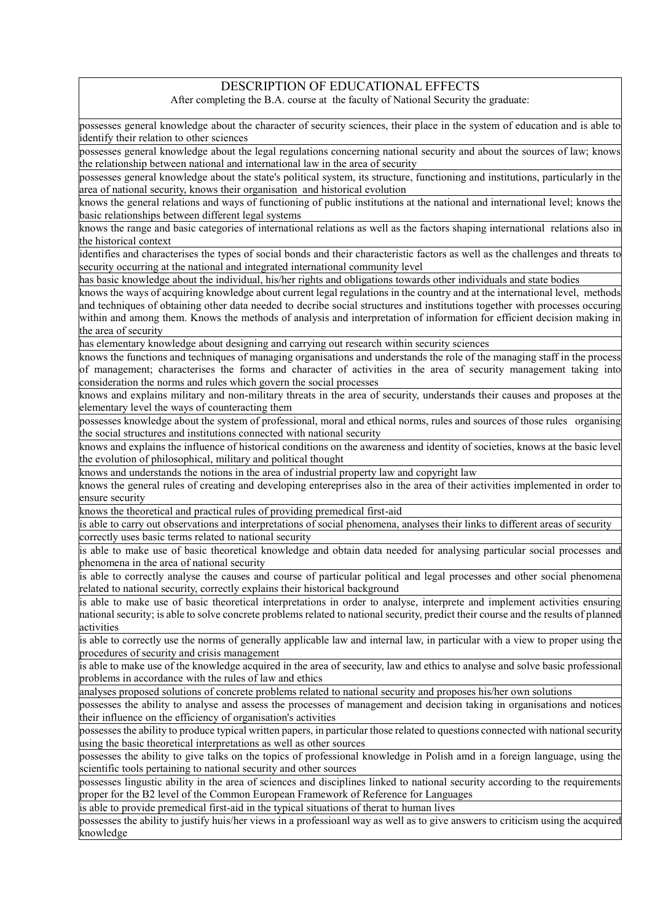## DESCRIPTION OF EDUCATIONAL EFFECTS

After completing the B.A. course at the faculty of National Security the graduate:

possesses general knowledge about the character of security sciences, their place in the system of education and is able to identify their relation to other sciences

possesses general knowledge about the legal regulations concerning national security and about the sources of law; knows the relationship between national and international law in the area of security

possesses general knowledge about the state's political system, its structure, functioning and institutions, particularly in the area of national security, knows their organisation and historical evolution

knows the general relations and ways of functioning of public institutions at the national and international level; knows the basic relationships between different legal systems

knows the range and basic categories of international relations as well as the factors shaping international relations also in the historical context

identifies and characterises the types of social bonds and their characteristic factors as well as the challenges and threats to security occurring at the national and integrated international community level

has basic knowledge about the individual, his/her rights and obligations towards other individuals and state bodies

knows the ways of acquiring knowledge about current legal regulations in the country and at the international level, methods and techniques of obtaining other data needed to decribe social structures and institutions together with processes occuring within and among them. Knows the methods of analysis and interpretation of information for efficient decision making in the area of security

has elementary knowledge about designing and carrying out research within security sciences

knows the functions and techniques of managing organisations and understands the role of the managing staff in the process of management; characterises the forms and character of activities in the area of security management taking into consideration the norms and rules which govern the social processes

knows and explains military and non-military threats in the area of security, understands their causes and proposes at the elementary level the ways of counteracting them

possesses knowledge about the system of professional, moral and ethical norms, rules and sources of those rules organising the social structures and institutions connected with national security

knows and explains the influence of historical conditions on the awareness and identity of societies, knows at the basic level the evolution of philosophical, military and political thought

knows and understands the notions in the area of industrial property law and copyright law

knows the general rules of creating and developing entereprises also in the area of their activities implemented in order to ensure security

knows the theoretical and practical rules of providing premedical first-aid

is able to carry out observations and interpretations of social phenomena, analyses their links to different areas of security correctly uses basic terms related to national security

is able to make use of basic theoretical knowledge and obtain data needed for analysing particular social processes and phenomena in the area of national security

is able to correctly analyse the causes and course of particular political and legal processes and other social phenomena related to national security, correctly explains their historical background

is able to make use of basic theoretical interpretations in order to analyse, interprete and implement activities ensuring national security; is able to solve concrete problems related to national security, predict their course and the results of planned activities

is able to correctly use the norms of generally applicable law and internal law, in particular with a view to proper using the procedures of security and crisis management

is able to make use of the knowledge acquired in the area of seecurity, law and ethics to analyse and solve basic professional problems in accordance with the rules of law and ethics

analyses proposed solutions of concrete problems related to national security and proposes his/her own solutions

possesses the ability to analyse and assess the processes of management and decision taking in organisations and notices their influence on the efficiency of organisation's activities

possesses the ability to produce typical written papers, in particular those related to questions connected with national security using the basic theoretical interpretations as well as other sources

possesses the ability to give talks on the topics of professional knowledge in Polish amd in a foreign language, using the scientific tools pertaining to national security and other sources

possesses lingustic ability in the area of sciences and disciplines linked to national security according to the requirements proper for the B2 level of the Common European Framework of Reference for Languages

is able to provide premedical first-aid in the typical situations of therat to human lives

possesses the ability to justify huis/her views in a professioanl way as well as to give answers to criticism using the acquired knowledge